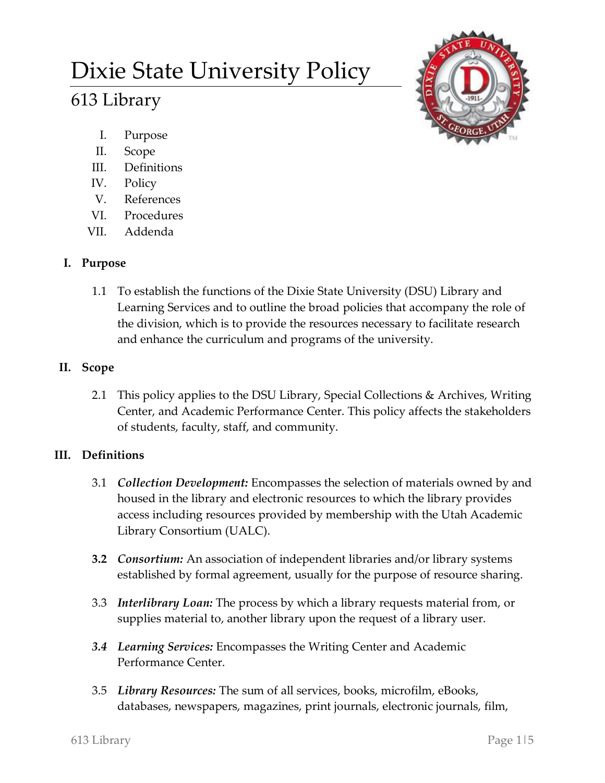# Dixie State University Policy

# 613 Library



- I. Purpose
- II. Scope
- III. Definitions
- IV. Policy
- V. References
- VI. Procedures
- VII. Addenda

# **I. Purpose**

1.1 To establish the functions of the Dixie State University (DSU) Library and Learning Services and to outline the broad policies that accompany the role of the division, which is to provide the resources necessary to facilitate research and enhance the curriculum and programs of the university.

# **II. Scope**

2.1 This policy applies to the DSU Library, Special Collections & Archives, Writing Center, and Academic Performance Center. This policy affects the stakeholders of students, faculty, staff, and community.

# **III. Definitions**

- 3.1 *Collection Development:* Encompasses the selection of materials owned by and housed in the library and electronic resources to which the library provides access including resources provided by membership with the Utah Academic Library Consortium (UALC).
- **3.2** *Consortium:* An association of independent libraries and/or library systems established by formal agreement, usually for the purpose of resource sharing.
- 3.3 *Interlibrary Loan:* The process by which a library requests material from, or supplies material to, another library upon the request of a library user.
- *3.4 Learning Services:* Encompasses the Writing Center and Academic Performance Center.
- 3.5 *Library Resources:* The sum of all services, books, microfilm, eBooks, databases, newspapers, magazines, print journals, electronic journals, film,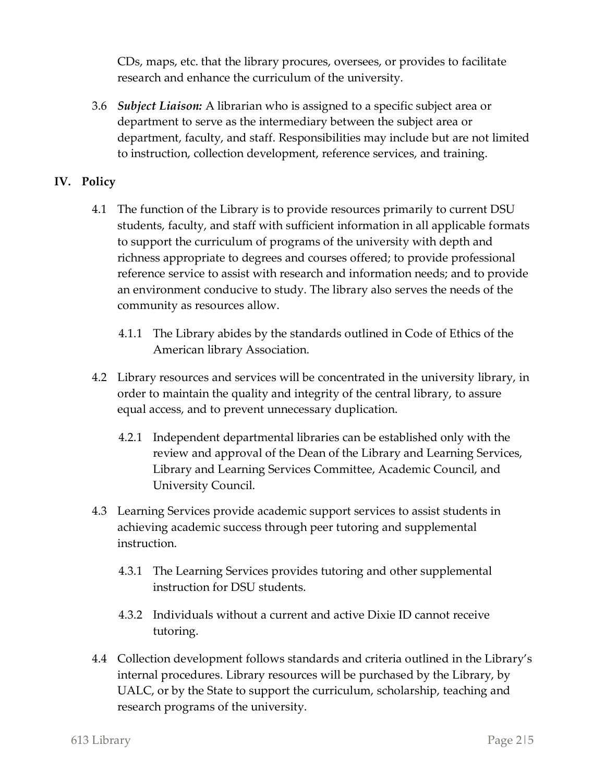CDs, maps, etc. that the library procures, oversees, or provides to facilitate research and enhance the curriculum of the university.

3.6 *Subject Liaison:* A librarian who is assigned to a specific subject area or department to serve as the intermediary between the subject area or department, faculty, and staff. Responsibilities may include but are not limited to instruction, collection development, reference services, and training.

### **IV. Policy**

- 4.1 The function of the Library is to provide resources primarily to current DSU students, faculty, and staff with sufficient information in all applicable formats to support the curriculum of programs of the university with depth and richness appropriate to degrees and courses offered; to provide professional reference service to assist with research and information needs; and to provide an environment conducive to study. The library also serves the needs of the community as resources allow.
	- 4.1.1 The Library abides by the standards outlined in Code of Ethics of the American library Association.
- 4.2 Library resources and services will be concentrated in the university library, in order to maintain the quality and integrity of the central library, to assure equal access, and to prevent unnecessary duplication.
	- 4.2.1 Independent departmental libraries can be established only with the review and approval of the Dean of the Library and Learning Services, Library and Learning Services Committee, Academic Council, and University Council.
- 4.3 Learning Services provide academic support services to assist students in achieving academic success through peer tutoring and supplemental instruction.
	- 4.3.1 The Learning Services provides tutoring and other supplemental instruction for DSU students.
	- 4.3.2 Individuals without a current and active Dixie ID cannot receive tutoring.
- 4.4 Collection development follows standards and criteria outlined in the Library's internal procedures. Library resources will be purchased by the Library, by UALC, or by the State to support the curriculum, scholarship, teaching and research programs of the university.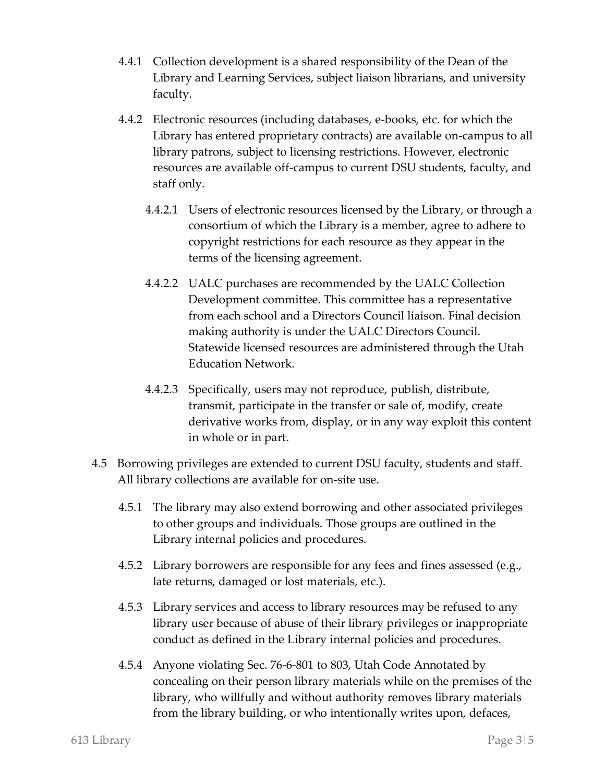- 4.4.1 Collection development is a shared responsibility of the Dean of the Library and Learning Services, subject liaison librarians, and university faculty.
- 4.4.2 Electronic resources (including databases, e-books, etc. for which the Library has entered proprietary contracts) are available on-campus to all library patrons, subject to licensing restrictions. However, electronic resources are available off-campus to current DSU students, faculty, and staff only.
	- 4.4.2.1 Users of electronic resources licensed by the Library, or through a consortium of which the Library is a member, agree to adhere to copyright restrictions for each resource as they appear in the terms of the licensing agreement.
	- 4.4.2.2 UALC purchases are recommended by the UALC Collection Development committee. This committee has a representative from each school and a Directors Council liaison. Final decision making authority is under the UALC Directors Council. Statewide licensed resources are administered through the Utah Education Network.
	- 4.4.2.3 Specifically, users may not reproduce, publish, distribute, transmit, participate in the transfer or sale of, modify, create derivative works from, display, or in any way exploit this content in whole or in part.
- 4.5 Borrowing privileges are extended to current DSU faculty, students and staff. All library collections are available for on-site use.
	- 4.5.1 The library may also extend borrowing and other associated privileges to other groups and individuals. Those groups are outlined in the Library internal policies and procedures.
	- 4.5.2 Library borrowers are responsible for any fees and fines assessed (e.g., late returns, damaged or lost materials, etc.).
	- 4.5.3 Library services and access to library resources may be refused to any library user because of abuse of their library privileges or inappropriate conduct as defined in the Library internal policies and procedures.
	- 4.5.4 Anyone violating Sec. 76-6-801 to 803, Utah Code Annotated by concealing on their person library materials while on the premises of the library, who willfully and without authority removes library materials from the library building, or who intentionally writes upon, defaces,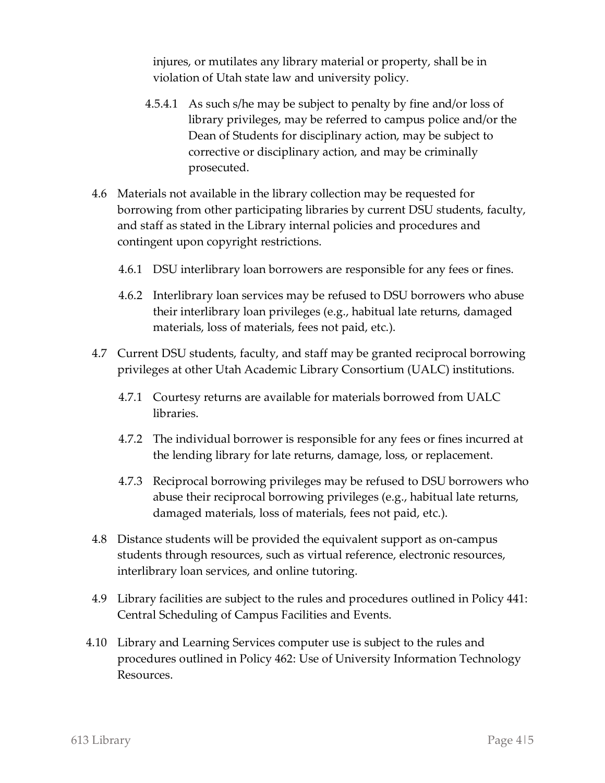injures, or mutilates any library material or property, shall be in violation of Utah state law and university policy.

- 4.5.4.1 As such s/he may be subject to penalty by fine and/or loss of library privileges, may be referred to campus police and/or the Dean of Students for disciplinary action, may be subject to corrective or disciplinary action, and may be criminally prosecuted.
- 4.6 Materials not available in the library collection may be requested for borrowing from other participating libraries by current DSU students, faculty, and staff as stated in the Library internal policies and procedures and contingent upon copyright restrictions.
	- 4.6.1 DSU interlibrary loan borrowers are responsible for any fees or fines.
	- 4.6.2 Interlibrary loan services may be refused to DSU borrowers who abuse their interlibrary loan privileges (e.g., habitual late returns, damaged materials, loss of materials, fees not paid, etc.).
- 4.7 Current DSU students, faculty, and staff may be granted reciprocal borrowing privileges at other Utah Academic Library Consortium (UALC) institutions.
	- 4.7.1 Courtesy returns are available for materials borrowed from UALC libraries.
	- 4.7.2 The individual borrower is responsible for any fees or fines incurred at the lending library for late returns, damage, loss, or replacement.
	- 4.7.3 Reciprocal borrowing privileges may be refused to DSU borrowers who abuse their reciprocal borrowing privileges (e.g., habitual late returns, damaged materials, loss of materials, fees not paid, etc.).
- 4.8 Distance students will be provided the equivalent support as on-campus students through resources, such as virtual reference, electronic resources, interlibrary loan services, and online tutoring.
- 4.9 Library facilities are subject to the rules and procedures outlined in Policy 441: Central Scheduling of Campus Facilities and Events.
- 4.10 Library and Learning Services computer use is subject to the rules and procedures outlined in Policy 462: Use of University Information Technology Resources.